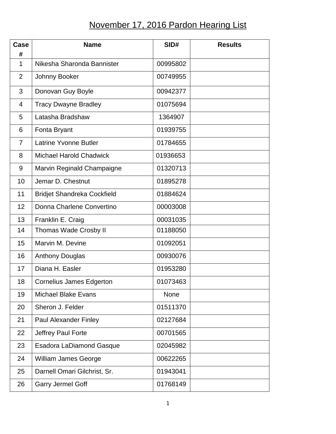## November 17, 2016 Pardon Hearing List

| <b>Case</b><br># | <b>Name</b>                        | SID#     | <b>Results</b> |
|------------------|------------------------------------|----------|----------------|
| $\mathbf{1}$     | Nikesha Sharonda Bannister         | 00995802 |                |
| $\overline{2}$   | Johnny Booker                      | 00749955 |                |
| 3                | Donovan Guy Boyle                  | 00942377 |                |
| 4                | <b>Tracy Dwayne Bradley</b>        | 01075694 |                |
| 5                | Latasha Bradshaw                   | 1364907  |                |
| 6                | Fonta Bryant                       | 01939755 |                |
| $\overline{7}$   | <b>Latrine Yvonne Butler</b>       | 01784655 |                |
| 8                | <b>Michael Harold Chadwick</b>     | 01936653 |                |
| 9                | Marvin Reginald Champaigne         | 01320713 |                |
| 10               | Jemar D. Chestnut                  | 01895278 |                |
| 11               | <b>Bridjet Shandreka Cockfield</b> | 01884624 |                |
| 12               | Donna Charlene Convertino          | 00003008 |                |
| 13               | Franklin E. Craig                  | 00031035 |                |
| 14               | <b>Thomas Wade Crosby II</b>       | 01188050 |                |
| 15               | Marvin M. Devine                   | 01092051 |                |
| 16               | <b>Anthony Douglas</b>             | 00930076 |                |
| 17               | Diana H. Easler                    | 01953280 |                |
| 18               | <b>Cornelius James Edgerton</b>    | 01073463 |                |
| 19               | <b>Michael Blake Evans</b>         | None     |                |
| 20               | Sheron J. Felder                   | 01511370 |                |
| 21               | <b>Paul Alexander Finley</b>       | 02127684 |                |
| 22               | Jeffrey Paul Forte                 | 00701565 |                |
| 23               | <b>Esadora LaDiamond Gasque</b>    | 02045982 |                |
| 24               | <b>William James George</b>        | 00622265 |                |
| 25               | Darnell Omari Gilchrist, Sr.       | 01943041 |                |
| 26               | <b>Garry Jermel Goff</b>           | 01768149 |                |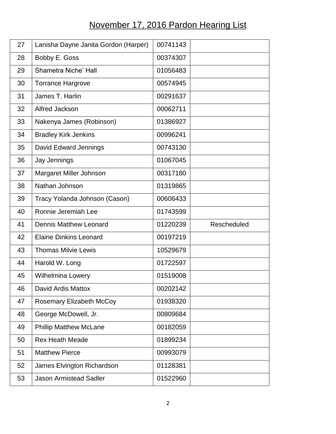## November 17, 2016 Pardon Hearing List

| 27 | Lanisha Dayne Janita Gordon (Harper) | 00741143 |             |
|----|--------------------------------------|----------|-------------|
| 28 | Bobby E. Goss                        | 00374307 |             |
| 29 | Shametra Niche' Hall                 | 01056483 |             |
| 30 | <b>Torrance Hargrove</b>             | 00574945 |             |
| 31 | James T. Harlin                      | 00291637 |             |
| 32 | Alfred Jackson                       | 00062711 |             |
| 33 | Nakenya James (Robinson)             | 01386927 |             |
| 34 | <b>Bradley Kirk Jenkins</b>          | 00996241 |             |
| 35 | David Edward Jennings                | 00743130 |             |
| 36 | Jay Jennings                         | 01067045 |             |
| 37 | Margaret Miller Johnson              | 00317180 |             |
| 38 | Nathan Johnson                       | 01319865 |             |
| 39 | Tracy Yolanda Johnson (Cason)        | 00606433 |             |
| 40 | Ronnie Jeremiah Lee                  | 01743599 |             |
|    |                                      |          |             |
| 41 | <b>Dennis Matthew Leonard</b>        | 01220239 | Rescheduled |
| 42 | <b>Elaine Dinkins Leonard</b>        | 00197219 |             |
| 43 | <b>Thomas Milvie Lewis</b>           | 10529679 |             |
| 44 | Harold W. Long                       | 01722597 |             |
| 45 | <b>Wilhelmina Lowery</b>             | 01519008 |             |
| 46 | David Ardis Mattox                   | 00202142 |             |
| 47 | <b>Rosemary Elizabeth McCoy</b>      | 01938320 |             |
| 48 | George McDowell, Jr.                 | 00809684 |             |
| 49 | <b>Phillip Matthew McLane</b>        | 00182059 |             |
| 50 | <b>Rex Heath Meade</b>               | 01899234 |             |
| 51 | <b>Matthew Pierce</b>                | 00993079 |             |
| 52 | James Elvington Richardson           | 01128381 |             |